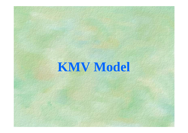# **KMV Model**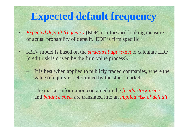## **Expected default frequency**

 $\bullet$  *Expected default frequency* (EDF) is a forward-looking measure of actual probability of default. EDF is firm specific.

•

- KMV model is based on the *structural approach* to calculate EDF (credit risk is driven by the firm value process).
	- It is best when applied to publicly traded companies, where the value of equity is determined by the stock market.
	- The market information contained in the *firm's stock price* and *balance sheet* are translated into an *implied risk of default*.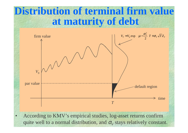## **Distribution of terminal firm value at maturity of debt**



 According to KMV's empirical studies, log-asset returns confirm quite well to a normal distribution, and  $\sigma_{\!V}$  stays relatively constant.

 $\bullet$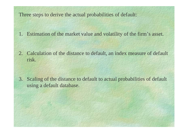Three steps to derive the actual probabilities of default:

1. Estimation of the market value and volatility of the firm's asset.

- 2. Calculation of the distance to default, an index measure of default risk.
- 3. Scaling of the distance to default to actual probabilities of default using a default database.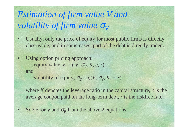## *Estimation of firm value V and volatility of firm value*  $σ$ <sub>*V*</sub>

- $\bullet$  Usually, only the price of equity for most public firms is directly observable, and in some cases, part of the debt is directly traded.
- $\bullet$  Using option pricing approach: equity value,  $E = f(V, \sigma_V, K, c, r)$ and

volatility of equity,  $\sigma_E = g(V, \sigma_V, K, c, r)$ 

where *K* denotes the leverage ratio in the capital structure, *c* is the average coupon paid on the long-term debt, *r* is the riskfree rate.

Solve for *V* and  $\sigma_E$  from the above 2 equations.

•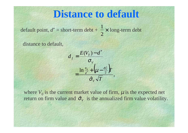## **Distance to default**

default point,  $d^*$  = short-term debt +  $\frac{1}{2}$  × long-term debt 1

distance to default,

$$
d_{f} = \frac{E(V_{T}) - d^{*}}{\sigma_{V}}
$$
  
= 
$$
\frac{\ln \frac{V_{0}}{d^{*}} + (\mu - \frac{\hat{\sigma}_{V}^{2}}{2})T}{\hat{\sigma}_{V}\sqrt{T}},
$$

where  $V_0$  is the current market value of firm,  $\mu$  is the expected net return on firm value and  $\hat{\sigma}_v$  is the annualized firm value volatility.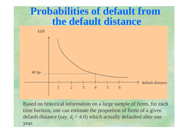## **Probabilities of default from the default distance**



Based on historical information on a large sample of firms, for each time horizon, one can estimate the proportion of firms of a given default distance (say,  $d_f$  = 4.0) which actually defaulted after one year.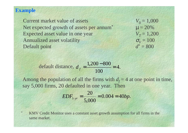#### **Example**

\*

Current market value of assetsNet expected growth of assets per annum<sup>\*</sup>  $\mu = 20\%$ Expected asset value in one year  $V_T = 1,200$ Annualized asset volatility  $\sigma_V = 100$ Default point  $d^* = 800$ 

 $V_0 = 1,000$ 

default distance, 
$$
d_f = \frac{1,200 - 800}{100} = 4.
$$

Among the population of all the firms with  $d_f = 4$  at one point in time, say 5,000 firms, 20 defaulted in one year. Then

$$
EDF_{1-yr} = \frac{20}{5,000} = 0.004 = 40bp.
$$

 KMV Credit Monitor uses a constant asset growth assumption for all firms in the same market.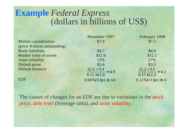### **Example** *Federal Express* (dollars in billions of US\$)

|                                                   | November 1997                            | February 1998                |
|---------------------------------------------------|------------------------------------------|------------------------------|
| Market capitalization                             | \$7.9                                    | \$7.3                        |
| $(\text{price} \times \text{shares outstanding})$ |                                          |                              |
| <b>Book liabilities</b>                           | \$4.7                                    | \$4.9                        |
| Market value of assets                            | \$12.6                                   | \$12.2                       |
| <b>Asset volatility</b>                           | 15%                                      | 17%                          |
| Default point                                     | \$3.4                                    | \$3.5                        |
| Default distance                                  | $\frac{12.6 - 3.4}{2} = 4.9$             | $\frac{12.2 - 3.5}{2} = 4.2$ |
|                                                   | $0.15 \times 12.6$                       | $0.17 \times 12.2$           |
| <b>EDF</b>                                        | $0.06\%$ (6 bp) $\equiv$ AA <sup>-</sup> | $0.11\%(11bp) \equiv A^-$    |

The causes of changes for an EDF are due to variations in the *stock price*, *debt level* (leverage ratio), and *asset volatility*.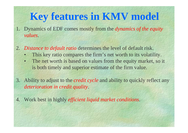## **Key features in KMV model**

- 1. Dynamics of EDF comes mostly from the *dynamics of the equity values*.
- 2. *Distance to default ratio* determines the level of default risk.
	- •This key ratio compares the firm's net worth to its volatility.
	- •The net worth is based on values from the equity market, so it is both timely and superior estimate of the firm value.
- 3. Ability to adjust to the *credit cycle* and ability to quickly reflect any *deterioration in credit quality*.
- 4. Work best in highly *efficient liquid market conditions*.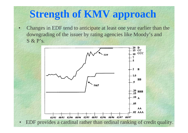## **Strength of KMV approach**

• Changes in EDF tend to anticipate at least one year earlier than the downgrading of the issuer by rating agencies like Moody's and S & P's.



 $\bullet$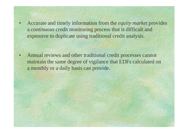$\bullet$  Accurate and timely information from the *equity market* provides <sup>a</sup>*continuous* credit monitoring process that is difficult and expensive to duplicate using traditional credit analysis.

 $\bullet$  Annual reviews and other traditional credit processes cannot maintain the same degree of vigilance that EDFs calculated on a monthly or a daily basis can provide.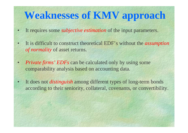## **Weaknesses of KMV approach**

- $\bullet$ It requires some *subjective estimation* of the input parameters.
- $\bullet$  It is difficult to construct theoretical EDF's without the *assumption of normality* of asset returns.
- $\bullet$ *Private firms' EDFs* can be calculated only by using some comparability analysis based on accounting data.
- $\bullet$  It does not *distinguish* among different types of long-term bonds according to their seniority, collateral, covenants, or convertibility.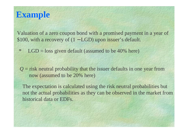#### **Example**

Valuation of a zero coupon bond with a promised payment in a year of \$100, with a recovery of (1 − LGD) upon issuer's default.

\* $LGD = loss$  given default (assumed to be 40% here)

*Q* = risk neutral probability that the issuer defaults in one year from now (assumed to be 20% here)

The expectation is calculated using the risk neutral probabilities but not the actual probabilities as they can be observed in the market from historical data or EDFs.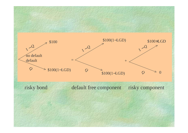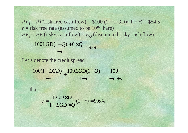*PV*<sub>1</sub> = *PV*(risk-free cash flow) =  $$100 (1 - LGD)/(1 + r) = $54.5$  $r =$  risk free rate (assumed to be 10% here)  $PV_2 = PV$  (risky cash flow) =  $E_Q$  (discounted risky cash flow) \$29.1.  $\frac{100 LGD(1-Q)+0 \times Q}{1+r} =$  $U$  +  $0 \times$  $\frac{1}{1+r}$  $Q$ ) + 0  $\times$   $Q$ 

Let *s* denote the credit spread

1

 $r \quad 1 + r + s$  $LGD(1-Q)$ *r LGD*  $+r +$  $+r$  $+\frac{100L0D(1)}{1+r}$ √r 1 100 1  $100 LGD(1 - Q)$ 1  $100(1-LGD)$ 

so that

$$
s = \frac{LGD \times Q}{1 - LGD \times Q} (1 + r) = 9.6\%.
$$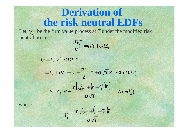## **Derivation of the risk neutral EDFs**

Let  $V_r^*$  be the firm value process at T under the modified risk neutral process.  $V^*_T$ \*

$$
\frac{dV_t^*}{V_t^*} = rdt + \sigma dZ_t
$$

 $\left[\frac{V_0}{DPT_T} + \left(r - \frac{\sigma^2}{2}\right)T\right]$  $(-d_2)$  $\frac{\ln\left[\frac{v_0}{DPT_T} + \left(r - \frac{\sigma^2}{2}\right)\right]}{\sqrt{T}} = N(-d_2^*)$  $\frac{1}{2}$   $\int T + \sigma \sqrt{T Z_T} \leq \ln \frac{1}{2}$ ln  $Q = P_r[V_T^* \leq DPT_T]$ 2 2  $P_r |\ln V_0 + r - \frac{g}{2} \ln T + \sigma \sqrt{T Z_T} \leq \ln DPT_T$  $\sigma^2$   $\mathbf{r} = \sigma^2$  $\left|\frac{P}{T}\right| = N(-d)$  $P_{r}$   $Z_{r} \leq -\frac{\ln \left[\frac{V_{0}}{DPT_{T}} + \left(r - \frac{\sigma^{2}}{2}\right)\right]}{T}$  $DPT_T$ *V*  $r \sim T$  $= N \left( \frac{1}{2} \right)$  **BASE SE**   $\ln \frac{V_0}{\rho^2} + (r = P_{r} Z_{T} \leq - \frac{2H_{T}}{\sigma}$   $\left[\ln V_0 + \left(r - \frac{\sigma^2}{2}\right)T + \sigma\sqrt{T}Z_T \leq \ln DPT_T\right]$   $T + \sigma \sqrt{T} Z_T \leq$   $\overline{\phantom{a}}$  $\big)$   $\setminus$  $= P_r \ln V_0 + \left( r - \frac{\sigma^2}{r} \right) r + \sigma$ σ σ

where

$$
d_2^* = \frac{\ln \frac{V_0}{DPT_T} + \left(r - \frac{\sigma^2}{2}\right)T}{\sigma\sqrt{T}}.
$$